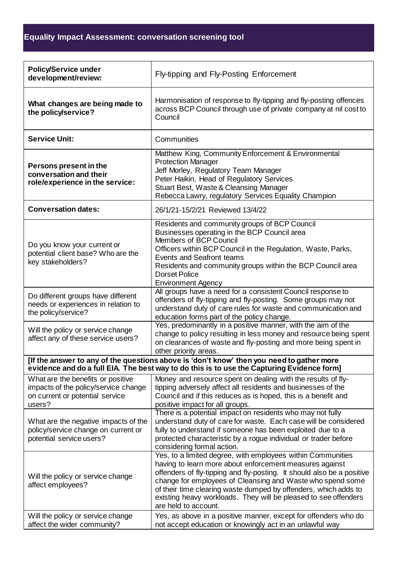| <b>Policy/Service under</b><br>development/review:                                                                                                                                      | Fly-tipping and Fly-Posting Enforcement                                                                                                                                                                                                                                                                                                                                                                                      |
|-----------------------------------------------------------------------------------------------------------------------------------------------------------------------------------------|------------------------------------------------------------------------------------------------------------------------------------------------------------------------------------------------------------------------------------------------------------------------------------------------------------------------------------------------------------------------------------------------------------------------------|
| What changes are being made to<br>the policy/service?                                                                                                                                   | Harmonisation of response to fly-tipping and fly-posting offences<br>across BCP Council through use of private company at nil cost to<br>Council                                                                                                                                                                                                                                                                             |
| <b>Service Unit:</b>                                                                                                                                                                    | Communities                                                                                                                                                                                                                                                                                                                                                                                                                  |
| Persons present in the<br>conversation and their<br>role/experience in the service:                                                                                                     | Matthew King, Community Enforcement & Environmental<br><b>Protection Manager</b><br>Jeff Morley, Regulatory Team Manager<br>Peter Haikin, Head of Regulatory Services<br>Stuart Best, Waste & Cleansing Manager<br>Rebecca Lawry, regulatory Services Equality Champion                                                                                                                                                      |
| <b>Conversation dates:</b>                                                                                                                                                              | 26/1/21-15/2/21 Reviewed 13/4/22                                                                                                                                                                                                                                                                                                                                                                                             |
| Do you know your current or<br>potential client base? Who are the<br>key stakeholders?                                                                                                  | Residents and community groups of BCP Council<br>Businesses operating in the BCP Council area<br>Members of BCP Council<br>Officers within BCP Council in the Regulation, Waste, Parks,<br>Events and Seafront teams<br>Residents and community groups within the BCP Council area<br><b>Dorset Police</b><br><b>Environment Agency</b>                                                                                      |
| Do different groups have different<br>needs or experiences in relation to<br>the policy/service?                                                                                        | All groups have a need for a consistent Council response to<br>offenders of fly-tipping and fly-posting. Some groups may not<br>understand duty of care rules for waste and communication and<br>education forms part of the policy change.                                                                                                                                                                                  |
| Will the policy or service change<br>affect any of these service users?                                                                                                                 | Yes, predominantly in a positive manner, with the aim of the<br>change to policy resulting in less money and resource being spent<br>on clearances of waste and fly-posting and more being spent in<br>other priority areas.                                                                                                                                                                                                 |
| [If the answer to any of the questions above is 'don't know' then you need to gather more<br>evidence and do a full EIA. The best way to do this is to use the Capturing Evidence form] |                                                                                                                                                                                                                                                                                                                                                                                                                              |
| What are the benefits or positive<br>impacts of the policy/service change<br>on current or potential service<br>users?                                                                  | Money and resource spent on dealing with the results of fly-<br>tipping adversely affect all residents and businesses of the<br>Council and if this reduces as is hoped, this is a benefit and<br>positive impact for all groups.                                                                                                                                                                                            |
| What are the negative impacts of the<br>policy/service change on current or<br>potential service users?                                                                                 | There is a potential impact on residents who may not fully<br>understand duty of care for waste. Each case will be considered<br>fully to understand if someone has been exploited due to a<br>protected characteristic by a rogue individual or trader before<br>considering formal action.                                                                                                                                 |
| Will the policy or service change<br>affect employees?                                                                                                                                  | Yes, to a limited degree, with employees within Communities<br>having to learn more about enforcement measures against<br>offenders of fly-tipping and fly-posting. It should also be a positive<br>change for employees of Cleansing and Waste who spend some<br>of their time clearing waste dumped by offenders, which adds to<br>existing heavy workloads. They will be pleased to see offenders<br>are held to account. |
| Will the policy or service change<br>affect the wider community?                                                                                                                        | Yes, as above in a positive manner, except for offenders who do<br>not accept education or knowingly act in an unlawful way                                                                                                                                                                                                                                                                                                  |